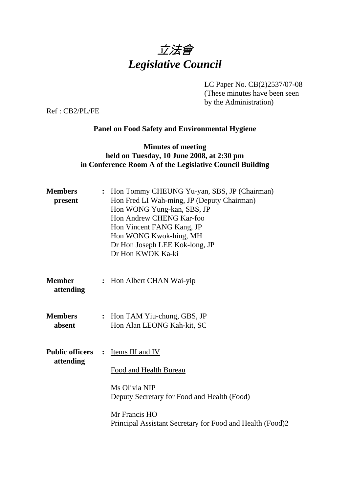

LC Paper No. CB(2)2537/07-08

(These minutes have been seen by the Administration)

Ref : CB2/PL/FE

## **Panel on Food Safety and Environmental Hygiene**

## **Minutes of meeting held on Tuesday, 10 June 2008, at 2:30 pm in Conference Room A of the Legislative Council Building**

| <b>Members</b><br>present           |                | Hon Tommy CHEUNG Yu-yan, SBS, JP (Chairman)<br>Hon Fred LI Wah-ming, JP (Deputy Chairman)<br>Hon WONG Yung-kan, SBS, JP<br>Hon Andrew CHENG Kar-foo<br>Hon Vincent FANG Kang, JP<br>Hon WONG Kwok-hing, MH<br>Dr Hon Joseph LEE Kok-long, JP<br>Dr Hon KWOK Ka-ki |
|-------------------------------------|----------------|-------------------------------------------------------------------------------------------------------------------------------------------------------------------------------------------------------------------------------------------------------------------|
| <b>Member</b><br>attending          |                | : Hon Albert CHAN Wai-yip                                                                                                                                                                                                                                         |
| <b>Members</b><br>absent            |                | : Hon TAM Yiu-chung, GBS, JP<br>Hon Alan LEONG Kah-kit, SC                                                                                                                                                                                                        |
| <b>Public officers</b><br>attending | $\ddot{\cdot}$ | Items III and IV<br>Food and Health Bureau<br>Ms Olivia NIP<br>Deputy Secretary for Food and Health (Food)<br>Mr Francis HO<br>Principal Assistant Secretary for Food and Health (Food)2                                                                          |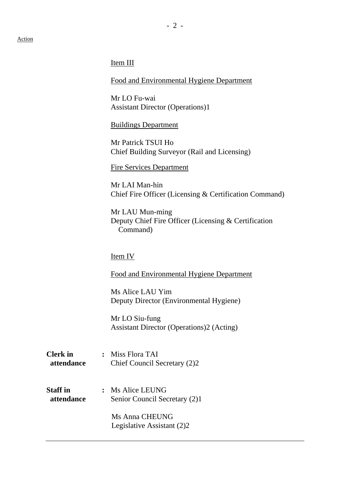#### Item III

Food and Environmental Hygiene Department

Mr LO Fu-wai Assistant Director (Operations)1

Buildings Department

Mr Patrick TSUI Ho Chief Building Surveyor (Rail and Licensing)

Fire Services Department

Mr LAI Man-hin Chief Fire Officer (Licensing & Certification Command)

Mr LAU Mun-ming Deputy Chief Fire Officer (Licensing & Certification Command)

#### Item IV

#### Food and Environmental Hygiene Department

Ms Alice LAU Yim Deputy Director (Environmental Hygiene)

Mr LO Siu-fung Assistant Director (Operations)2 (Acting)

**Clerk in :** Miss Flora TAI  **attendance** Chief Council Secretary (2)2

**Staff in :** Ms Alice LEUNG **attendance** Senior Council Secretary (2)1

> Ms Anna CHEUNG Legislative Assistant (2)2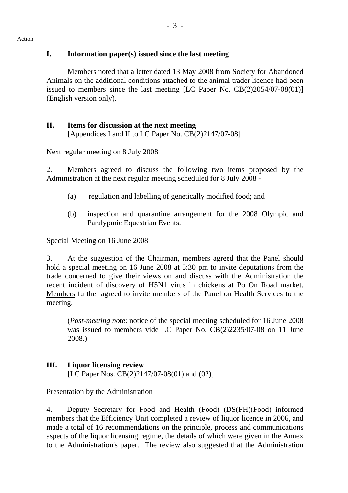# **I. Information paper(s) issued since the last meeting**

1. Members noted that a letter dated 13 May 2008 from Society for Abandoned Animals on the additional conditions attached to the animal trader licence had been issued to members since the last meeting [LC Paper No. CB(2)2054/07-08(01)] (English version only).

## **II. Items for discussion at the next meeting**  [Appendices I and II to LC Paper No. CB(2)2147/07-08]

### Next regular meeting on 8 July 2008

2. Members agreed to discuss the following two items proposed by the Administration at the next regular meeting scheduled for 8 July 2008 -

- (a) regulation and labelling of genetically modified food; and
- (b) inspection and quarantine arrangement for the 2008 Olympic and Paralypmic Equestrian Events.

# Special Meeting on 16 June 2008

3. At the suggestion of the Chairman, members agreed that the Panel should hold a special meeting on 16 June 2008 at 5:30 pm to invite deputations from the trade concerned to give their views on and discuss with the Administration the recent incident of discovery of H5N1 virus in chickens at Po On Road market. Members further agreed to invite members of the Panel on Health Services to the meeting.

(*Post-meeting note*: notice of the special meeting scheduled for 16 June 2008 was issued to members vide LC Paper No. CB(2)2235/07-08 on 11 June 2008.)

# **III. Liquor licensing review**

[LC Paper Nos. CB(2)2147/07-08(01) and (02)]

# Presentation by the Administration

4. Deputy Secretary for Food and Health (Food) (DS(FH)(Food) informed members that the Efficiency Unit completed a review of liquor licence in 2006, and made a total of 16 recommendations on the principle, process and communications aspects of the liquor licensing regime, the details of which were given in the Annex to the Administration's paper. The review also suggested that the Administration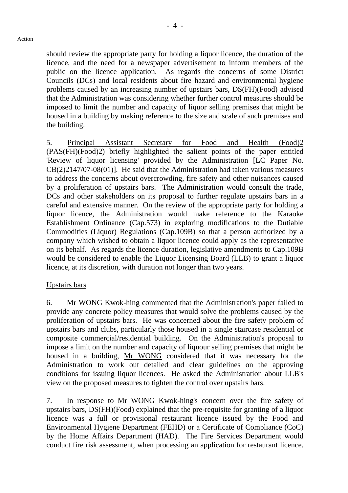should review the appropriate party for holding a liquor licence, the duration of the licence, and the need for a newspaper advertisement to inform members of the public on the licence application. As regards the concerns of some District Councils (DCs) and local residents about fire hazard and environmental hygiene problems caused by an increasing number of upstairs bars, DS(FH)(Food) advised that the Administration was considering whether further control measures should be imposed to limit the number and capacity of liquor selling premises that might be housed in a building by making reference to the size and scale of such premises and

5. Principal Assistant Secretary for Food and Health (Food)2 (PAS(FH)(Food)2) briefly highlighted the salient points of the paper entitled 'Review of liquor licensing' provided by the Administration [LC Paper No. CB(2)2147/07-08(01)]. He said that the Administration had taken various measures to address the concerns about overcrowding, fire safety and other nuisances caused by a proliferation of upstairs bars. The Administration would consult the trade, DCs and other stakeholders on its proposal to further regulate upstairs bars in a careful and extensive manner. On the review of the appropriate party for holding a liquor licence, the Administration would make reference to the Karaoke Establishment Ordinance (Cap.573) in exploring modifications to the Dutiable Commodities (Liquor) Regulations (Cap.109B) so that a person authorized by a company which wished to obtain a liquor licence could apply as the representative on its behalf. As regards the licence duration, legislative amendments to Cap.109B would be considered to enable the Liquor Licensing Board (LLB) to grant a liquor licence, at its discretion, with duration not longer than two years.

#### Upstairs bars

the building.

6. Mr WONG Kwok-hing commented that the Administration's paper failed to provide any concrete policy measures that would solve the problems caused by the proliferation of upstairs bars. He was concerned about the fire safety problem of upstairs bars and clubs, particularly those housed in a single staircase residential or composite commercial/residential building. On the Administration's proposal to impose a limit on the number and capacity of liquour selling premises that might be housed in a building, Mr WONG considered that it was necessary for the Administration to work out detailed and clear guidelines on the approving conditions for issuing liquor licences. He asked the Administration about LLB's view on the proposed measures to tighten the control over upstairs bars.

7. In response to Mr WONG Kwok-hing's concern over the fire safety of upstairs bars, DS(FH)(Food) explained that the pre-requisite for granting of a liquor licence was a full or provisional restaurant licence issued by the Food and Environmental Hygiene Department (FEHD) or a Certificate of Compliance (CoC) by the Home Affairs Department (HAD). The Fire Services Department would conduct fire risk assessment, when processing an application for restaurant licence.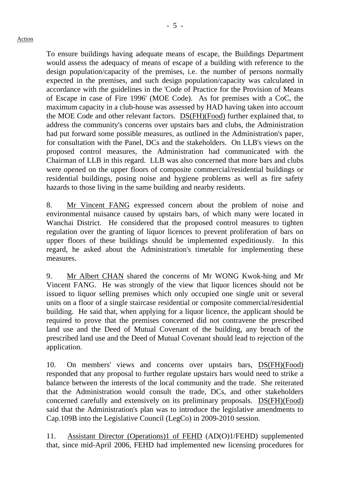To ensure buildings having adequate means of escape, the Buildings Department would assess the adequacy of means of escape of a building with reference to the design population/capacity of the premises, i.e. the number of persons normally expected in the premises, and such design population/capacity was calculated in accordance with the guidelines in the 'Code of Practice for the Provision of Means of Escape in case of Fire 1996' (MOE Code). As for premises with a CoC, the maximum capacity in a club-house was assessed by HAD having taken into account the MOE Code and other relevant factors. DS(FH)(Food) further explained that, to address the community's concerns over upstairs bars and clubs, the Administration had put forward some possible measures, as outlined in the Administration's paper, for consultation with the Panel, DCs and the stakeholders. On LLB's views on the proposed control measures, the Administration had communicated with the Chairman of LLB in this regard. LLB was also concerned that more bars and clubs were opened on the upper floors of composite commercial/residential buildings or residential buildings, posing noise and hygiene problems as well as fire safety hazards to those living in the same building and nearby residents.

8. Mr Vincent FANG expressed concern about the problem of noise and environmental nuisance caused by upstairs bars, of which many were located in Wanchai District. He considered that the proposed control measures to tighten regulation over the granting of liquor licences to prevent proliferation of bars on upper floors of these buildings should be implemented expeditiously. In this regard, he asked about the Administration's timetable for implementing these measures.

9. Mr Albert CHAN shared the concerns of Mr WONG Kwok-hing and Mr Vincent FANG. He was strongly of the view that liquor licences should not be issued to liquor selling premises which only occupied one single unit or several units on a floor of a single staircase residential or composite commercial/residential building. He said that, when applying for a liquor licence, the applicant should be required to prove that the premises concerned did not contravene the prescribed land use and the Deed of Mutual Covenant of the building, any breach of the prescribed land use and the Deed of Mutual Covenant should lead to rejection of the application.

10. On members' views and concerns over upstairs bars, DS(FH)(Food) responded that any proposal to further regulate upstairs bars would need to strike a balance between the interests of the local community and the trade. She reiterated that the Administration would consult the trade, DCs, and other stakeholders concerned carefully and extensively on its preliminary proposals. DS(FH)(Food) said that the Administration's plan was to introduce the legislative amendments to Cap.109B into the Legislative Council (LegCo) in 2009-2010 session.

11. Assistant Director (Operations)1 of FEHD (AD(O)1/FEHD) supplemented that, since mid-April 2006, FEHD had implemented new licensing procedures for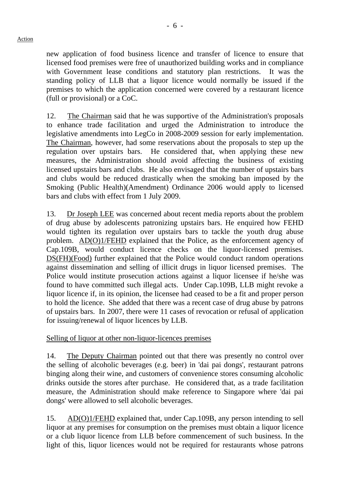new application of food business licence and transfer of licence to ensure that licensed food premises were free of unauthorized building works and in compliance with Government lease conditions and statutory plan restrictions. It was the standing policy of LLB that a liquor licence would normally be issued if the premises to which the application concerned were covered by a restaurant licence (full or provisional) or a CoC.

12. The Chairman said that he was supportive of the Administration's proposals to enhance trade facilitation and urged the Administration to introduce the legislative amendments into LegCo in 2008-2009 session for early implementation. The Chairman, however, had some reservations about the proposals to step up the regulation over upstairs bars. He considered that, when applying these new measures, the Administration should avoid affecting the business of existing licensed upstairs bars and clubs. He also envisaged that the number of upstairs bars and clubs would be reduced drastically when the smoking ban imposed by the Smoking (Public Health)(Amendment) Ordinance 2006 would apply to licensed bars and clubs with effect from 1 July 2009.

13. Dr Joseph LEE was concerned about recent media reports about the problem of drug abuse by adolescents patronizing upstairs bars. He enquired how FEHD would tighten its regulation over upstairs bars to tackle the youth drug abuse problem. AD(O)1/FEHD explained that the Police, as the enforcement agency of Cap.109B, would conduct licence checks on the liquor-licensed premises. DS(FH)(Food) further explained that the Police would conduct random operations against dissemination and selling of illicit drugs in liquor licensed premises. The Police would institute prosecution actions against a liquor licensee if he/she was found to have committed such illegal acts. Under Cap.109B, LLB might revoke a liquor licence if, in its opinion, the licensee had ceased to be a fit and proper person to hold the licence. She added that there was a recent case of drug abuse by patrons of upstairs bars. In 2007, there were 11 cases of revocation or refusal of application for issuing/renewal of liquor licences by LLB.

Selling of liquor at other non-liquor-licences premises

14. The Deputy Chairman pointed out that there was presently no control over the selling of alcoholic beverages (e.g. beer) in 'dai pai dongs', restaurant patrons binging along their wine, and customers of convenience stores consuming alcoholic drinks outside the stores after purchase. He considered that, as a trade facilitation measure, the Administration should make reference to Singapore where 'dai pai dongs' were allowed to sell alcoholic beverages.

15. AD(O)1/FEHD explained that, under Cap.109B, any person intending to sell liquor at any premises for consumption on the premises must obtain a liquor licence or a club liquor licence from LLB before commencement of such business. In the light of this, liquor licences would not be required for restaurants whose patrons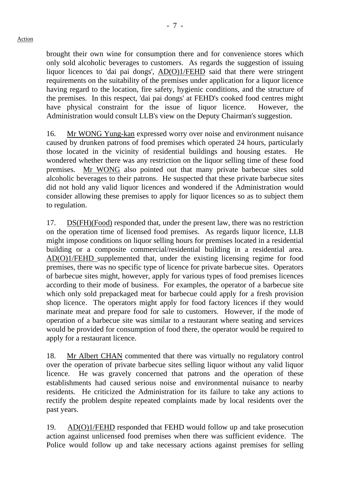brought their own wine for consumption there and for convenience stores which only sold alcoholic beverages to customers. As regards the suggestion of issuing liquor licences to 'dai pai dongs', AD(O)1/FEHD said that there were stringent requirements on the suitability of the premises under application for a liquor licence having regard to the location, fire safety, hygienic conditions, and the structure of the premises. In this respect, 'dai pai dongs' at FEHD's cooked food centres might have physical constraint for the issue of liquor licence. However, the Administration would consult LLB's view on the Deputy Chairman's suggestion.

16. Mr WONG Yung-kan expressed worry over noise and environment nuisance caused by drunken patrons of food premises which operated 24 hours, particularly those located in the vicinity of residential buildings and housing estates. He wondered whether there was any restriction on the liquor selling time of these food premises. Mr WONG also pointed out that many private barbecue sites sold alcoholic beverages to their patrons. He suspected that these private barbecue sites did not hold any valid liquor licences and wondered if the Administration would consider allowing these premises to apply for liquor licences so as to subject them to regulation.

17. DS(FH)(Food) responded that, under the present law, there was no restriction on the operation time of licensed food premises. As regards liquor licence, LLB might impose conditions on liquor selling hours for premises located in a residential building or a composite commercial/residential building in a residential area. AD(O)1/FEHD supplemented that, under the existing licensing regime for food premises, there was no specific type of licence for private barbecue sites. Operators of barbecue sites might, however, apply for various types of food premises licences according to their mode of business. For examples, the operator of a barbecue site which only sold prepackaged meat for barbecue could apply for a fresh provision shop licence. The operators might apply for food factory licences if they would marinate meat and prepare food for sale to customers. However, if the mode of operation of a barbecue site was similar to a restaurant where seating and services would be provided for consumption of food there, the operator would be required to apply for a restaurant licence.

18. Mr Albert CHAN commented that there was virtually no regulatory control over the operation of private barbecue sites selling liquor without any valid liquor licence. He was gravely concerned that patrons and the operation of these establishments had caused serious noise and environmental nuisance to nearby residents. He criticized the Administration for its failure to take any actions to rectify the problem despite repeated complaints made by local residents over the past years.

19. AD(O)1/FEHD responded that FEHD would follow up and take prosecution action against unlicensed food premises when there was sufficient evidence. The Police would follow up and take necessary actions against premises for selling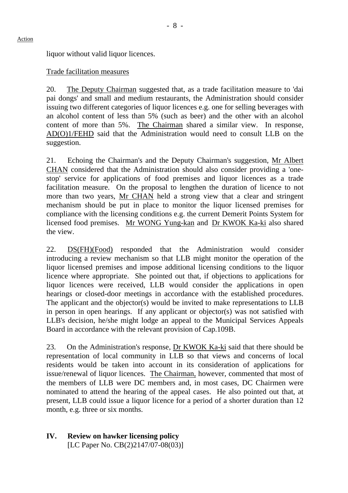liquor without valid liquor licences.

#### Trade facilitation measures

20. The Deputy Chairman suggested that, as a trade facilitation measure to 'dai pai dongs' and small and medium restaurants, the Administration should consider issuing two different categories of liquor licences e.g. one for selling beverages with an alcohol content of less than 5% (such as beer) and the other with an alcohol content of more than 5%. The Chairman shared a similar view. In response, AD(O)1/FEHD said that the Administration would need to consult LLB on the suggestion.

21. Echoing the Chairman's and the Deputy Chairman's suggestion, Mr Albert CHAN considered that the Administration should also consider providing a 'onestop' service for applications of food premises and liquor licences as a trade facilitation measure. On the proposal to lengthen the duration of licence to not more than two years, Mr CHAN held a strong view that a clear and stringent mechanism should be put in place to monitor the liquor licensed premises for compliance with the licensing conditions e.g. the current Demerit Points System for licensed food premises. Mr WONG Yung-kan and Dr KWOK Ka-ki also shared the view.

22. DS(FH)(Food) responded that the Administration would consider introducing a review mechanism so that LLB might monitor the operation of the liquor licensed premises and impose additional licensing conditions to the liquor licence where appropriate. She pointed out that, if objections to applications for liquor licences were received, LLB would consider the applications in open hearings or closed-door meetings in accordance with the established procedures. The applicant and the objector(s) would be invited to make representations to LLB in person in open hearings. If any applicant or objector(s) was not satisfied with LLB's decision, he/she might lodge an appeal to the Municipal Services Appeals Board in accordance with the relevant provision of Cap.109B.

23. On the Administration's response, Dr KWOK Ka-ki said that there should be representation of local community in LLB so that views and concerns of local residents would be taken into account in its consideration of applications for issue/renewal of liquor licences. The Chairman, however, commented that most of the members of LLB were DC members and, in most cases, DC Chairmen were nominated to attend the hearing of the appeal cases. He also pointed out that, at present, LLB could issue a liquor licence for a period of a shorter duration than 12 month, e.g. three or six months.

#### **IV. Review on hawker licensing policy**  [LC Paper No. CB(2)2147/07-08(03)]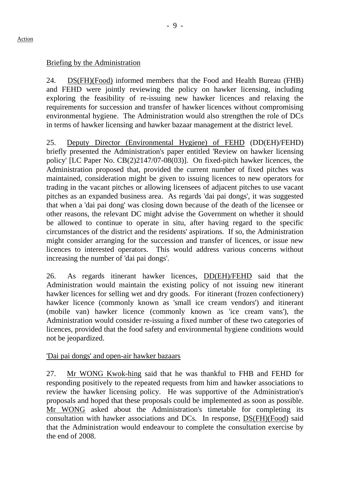#### Briefing by the Administration

24. DS(FH)(Food) informed members that the Food and Health Bureau (FHB) and FEHD were jointly reviewing the policy on hawker licensing, including exploring the feasibility of re-issuing new hawker licences and relaxing the requirements for succession and transfer of hawker licences without compromising environmental hygiene. The Administration would also strengthen the role of DCs in terms of hawker licensing and hawker bazaar management at the district level.

25. Deputy Director (Environmental Hygiene) of FEHD (DD(EH)/FEHD) briefly presented the Administration's paper entitled 'Review on hawker licensing policy' [LC Paper No. CB(2)2147/07-08(03)]. On fixed-pitch hawker licences, the Administration proposed that, provided the current number of fixed pitches was maintained, consideration might be given to issuing licences to new operators for trading in the vacant pitches or allowing licensees of adjacent pitches to use vacant pitches as an expanded business area. As regards 'dai pai dongs', it was suggested that when a 'dai pai dong' was closing down because of the death of the licensee or other reasons, the relevant DC might advise the Government on whether it should be allowed to continue to operate in situ, after having regard to the specific circumstances of the district and the residents' aspirations. If so, the Administration might consider arranging for the succession and transfer of licences, or issue new licences to interested operators. This would address various concerns without increasing the number of 'dai pai dongs'.

26. As regards itinerant hawker licences, DD(EH)/FEHD said that the Administration would maintain the existing policy of not issuing new itinerant hawker licences for selling wet and dry goods. For itinerant (frozen confectionery) hawker licence (commonly known as 'small ice cream vendors') and itinerant (mobile van) hawker licence (commonly known as 'ice cream vans'), the Administration would consider re-issuing a fixed number of these two categories of licences, provided that the food safety and environmental hygiene conditions would not be jeopardized.

### 'Dai pai dongs' and open-air hawker bazaars

27. Mr WONG Kwok-hing said that he was thankful to FHB and FEHD for responding positively to the repeated requests from him and hawker associations to review the hawker licensing policy. He was supportive of the Administration's proposals and hoped that these proposals could be implemented as soon as possible. Mr WONG asked about the Administration's timetable for completing its consultation with hawker associations and DCs. In response, DS(FH)(Food) said that the Administration would endeavour to complete the consultation exercise by the end of 2008.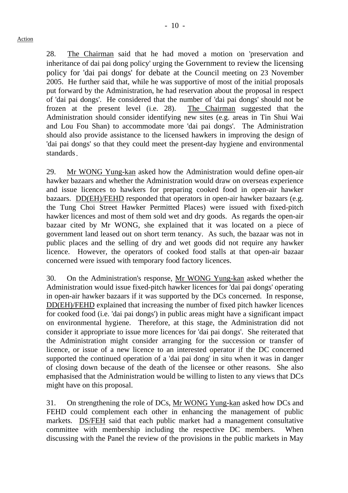28. The Chairman said that he had moved a motion on 'preservation and inheritance of dai pai dong policy' urging the Government to review the licensing policy for 'dai pai dongs' for debate at the Council meeting on 23 November 2005. He further said that, while he was supportive of most of the initial proposals put forward by the Administration, he had reservation about the proposal in respect of 'dai pai dongs'. He considered that the number of 'dai pai dongs' should not be frozen at the present level (i.e. 28). The Chairman suggested that the Administration should consider identifying new sites (e.g. areas in Tin Shui Wai and Lou Fou Shan) to accommodate more 'dai pai dongs'. The Administration should also provide assistance to the licensed hawkers in improving the design of 'dai pai dongs' so that they could meet the present-day hygiene and environmental standards.

29. Mr WONG Yung-kan asked how the Administration would define open-air hawker bazaars and whether the Administration would draw on overseas experience and issue licences to hawkers for preparing cooked food in open-air hawker bazaars. DD(EH)/FEHD responded that operators in open-air hawker bazaars (e.g. the Tung Choi Street Hawker Permitted Places) were issued with fixed-pitch hawker licences and most of them sold wet and dry goods. As regards the open-air bazaar cited by Mr WONG, she explained that it was located on a piece of government land leased out on short term tenancy. As such, the bazaar was not in public places and the selling of dry and wet goods did not require any hawker licence. However, the operators of cooked food stalls at that open-air bazaar concerned were issued with temporary food factory licences.

30. On the Administration's response, Mr WONG Yung-kan asked whether the Administration would issue fixed-pitch hawker licences for 'dai pai dongs' operating in open-air hawker bazaars if it was supported by the DCs concerned. In response, DD(EH)/FEHD explained that increasing the number of fixed pitch hawker licences for cooked food (i.e. 'dai pai dongs') in public areas might have a significant impact on environmental hygiene. Therefore, at this stage, the Administration did not consider it appropriate to issue more licences for 'dai pai dongs'. She reiterated that the Administration might consider arranging for the succession or transfer of licence, or issue of a new licence to an interested operator if the DC concerned supported the continued operation of a 'dai pai dong' in situ when it was in danger of closing down because of the death of the licensee or other reasons. She also emphasised that the Administration would be willing to listen to any views that DCs might have on this proposal.

31. On strengthening the role of DCs, Mr WONG Yung-kan asked how DCs and FEHD could complement each other in enhancing the management of public markets. DS/FEH said that each public market had a management consultative committee with membership including the respective DC members. When discussing with the Panel the review of the provisions in the public markets in May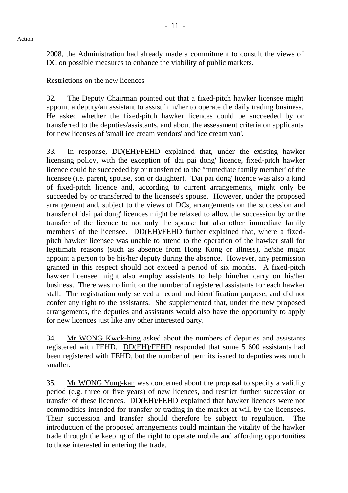2008, the Administration had already made a commitment to consult the views of DC on possible measures to enhance the viability of public markets.

Restrictions on the new licences

32. The Deputy Chairman pointed out that a fixed-pitch hawker licensee might appoint a deputy/an assistant to assist him/her to operate the daily trading business. He asked whether the fixed-pitch hawker licences could be succeeded by or transferred to the deputies/assistants, and about the assessment criteria on applicants for new licenses of 'small ice cream vendors' and 'ice cream van'.

33. In response, DD(EH)/FEHD explained that, under the existing hawker licensing policy, with the exception of 'dai pai dong' licence, fixed-pitch hawker licence could be succeeded by or transferred to the 'immediate family member' of the licensee (i.e. parent, spouse, son or daughter). 'Dai pai dong' licence was also a kind of fixed-pitch licence and, according to current arrangements, might only be succeeded by or transferred to the licensee's spouse. However, under the proposed arrangement and, subject to the views of DCs, arrangements on the succession and transfer of 'dai pai dong' licences might be relaxed to allow the succession by or the transfer of the licence to not only the spouse but also other 'immediate family members' of the licensee. DD(EH)/FEHD further explained that, where a fixedpitch hawker licensee was unable to attend to the operation of the hawker stall for legitimate reasons (such as absence from Hong Kong or illness), he/she might appoint a person to be his/her deputy during the absence. However, any permission granted in this respect should not exceed a period of six months. A fixed-pitch hawker licensee might also employ assistants to help him/her carry on his/her business. There was no limit on the number of registered assistants for each hawker stall. The registration only served a record and identification purpose, and did not confer any right to the assistants. She supplemented that, under the new proposed arrangements, the deputies and assistants would also have the opportunity to apply for new licences just like any other interested party.

34. Mr WONG Kwok-hing asked about the numbers of deputies and assistants registered with FEHD. DD(EH)/FEHD responded that some 5 600 assistants had been registered with FEHD, but the number of permits issued to deputies was much smaller.

35. Mr WONG Yung-kan was concerned about the proposal to specify a validity period (e.g. three or five years) of new licences, and restrict further succession or transfer of these licences. DD(EH)/FEHD explained that hawker licences were not commodities intended for transfer or trading in the market at will by the licensees. Their succession and transfer should therefore be subject to regulation. The introduction of the proposed arrangements could maintain the vitality of the hawker trade through the keeping of the right to operate mobile and affording opportunities to those interested in entering the trade.